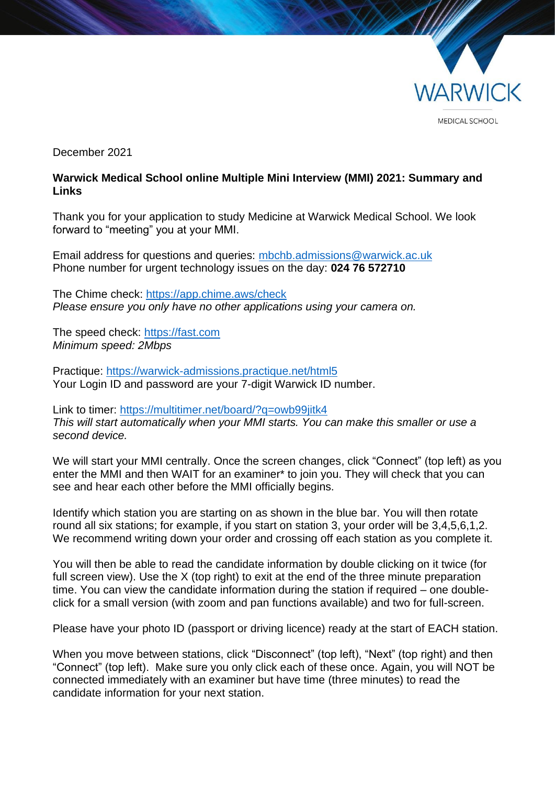

December 2021

## **Warwick Medical School online Multiple Mini Interview (MMI) 2021: Summary and Links**

Thank you for your application to study Medicine at Warwick Medical School. We look forward to "meeting" you at your MMI.

Email address for questions and queries: [mbchb.admissions@warwick.ac.uk](mailto:mbchb.admissions@warwick.ac.uk) Phone number for urgent technology issues on the day: **024 76 572710**

The Chime check:<https://app.chime.aws/check> *Please ensure you only have no other applications using your camera on.*

The speed check: [https://fast.com](https://fast.com/) *Minimum speed: 2Mbps*

Practique:<https://warwick-admissions.practique.net/html5> Your Login ID and password are your 7-digit Warwick ID number.

Link to timer: <https://multitimer.net/board/?q=owb99jitk4> *This will start automatically when your MMI starts. You can make this smaller or use a second device.*

We will start your MMI centrally. Once the screen changes, click "Connect" (top left) as you enter the MMI and then WAIT for an examiner\* to join you. They will check that you can see and hear each other before the MMI officially begins.

Identify which station you are starting on as shown in the blue bar. You will then rotate round all six stations; for example, if you start on station 3, your order will be 3,4,5,6,1,2. We recommend writing down your order and crossing off each station as you complete it.

You will then be able to read the candidate information by double clicking on it twice (for full screen view). Use the X (top right) to exit at the end of the three minute preparation time. You can view the candidate information during the station if required – one doubleclick for a small version (with zoom and pan functions available) and two for full-screen.

Please have your photo ID (passport or driving licence) ready at the start of EACH station.

When you move between stations, click "Disconnect" (top left), "Next" (top right) and then "Connect" (top left). Make sure you only click each of these once. Again, you will NOT be connected immediately with an examiner but have time (three minutes) to read the candidate information for your next station.